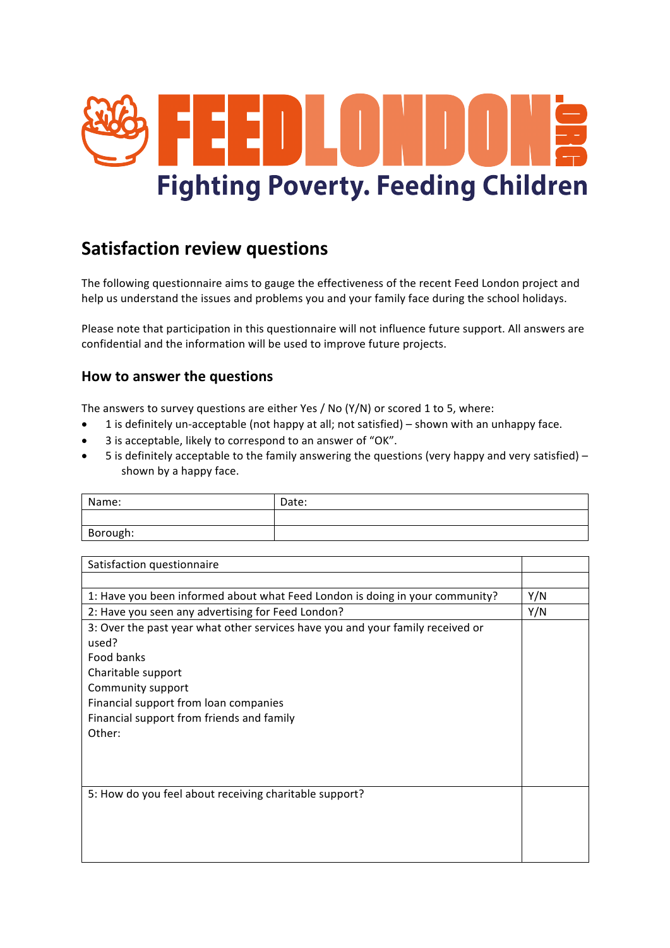

## **Satisfaction review questions**

The following questionnaire aims to gauge the effectiveness of the recent Feed London project and help us understand the issues and problems you and your family face during the school holidays.

Please note that participation in this questionnaire will not influence future support. All answers are confidential and the information will be used to improve future projects.

## **How to answer the questions**

The answers to survey questions are either Yes / No (Y/N) or scored 1 to 5, where:

- 1 is definitely un-acceptable (not happy at all; not satisfied) shown with an unhappy face.
- 3 is acceptable, likely to correspond to an answer of "OK".
- 5 is definitely acceptable to the family answering the questions (very happy and very satisfied) shown by a happy face.

| Name:    | Date: |
|----------|-------|
|          |       |
| Borough: |       |

| Satisfaction questionnaire                                                     |     |
|--------------------------------------------------------------------------------|-----|
|                                                                                |     |
| 1: Have you been informed about what Feed London is doing in your community?   | Y/N |
| 2: Have you seen any advertising for Feed London?                              | Y/N |
| 3: Over the past year what other services have you and your family received or |     |
| used?                                                                          |     |
| Food banks                                                                     |     |
| Charitable support                                                             |     |
| Community support                                                              |     |
| Financial support from loan companies                                          |     |
| Financial support from friends and family                                      |     |
| Other:                                                                         |     |
|                                                                                |     |
|                                                                                |     |
|                                                                                |     |
| 5: How do you feel about receiving charitable support?                         |     |
|                                                                                |     |
|                                                                                |     |
|                                                                                |     |
|                                                                                |     |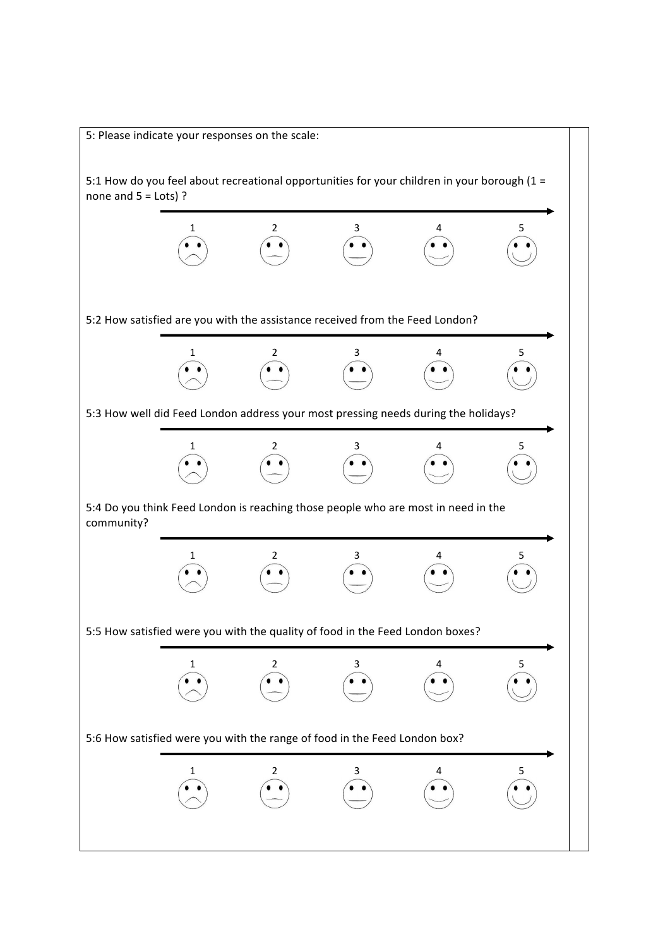